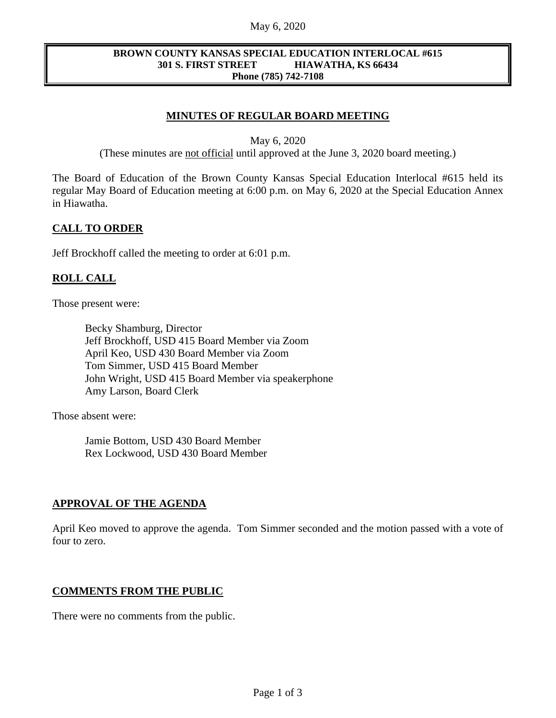### May 6, 2020

#### **BROWN COUNTY KANSAS SPECIAL EDUCATION INTERLOCAL #615 301 S. FIRST STREET HIAWATHA, KS 66434 Phone (785) 742-7108**

# **MINUTES OF REGULAR BOARD MEETING**

May 6, 2020

(These minutes are not official until approved at the June 3, 2020 board meeting.)

The Board of Education of the Brown County Kansas Special Education Interlocal #615 held its regular May Board of Education meeting at 6:00 p.m. on May 6, 2020 at the Special Education Annex in Hiawatha.

## **CALL TO ORDER**

Jeff Brockhoff called the meeting to order at 6:01 p.m.

## **ROLL CALL**

Those present were:

Becky Shamburg, Director Jeff Brockhoff, USD 415 Board Member via Zoom April Keo, USD 430 Board Member via Zoom Tom Simmer, USD 415 Board Member John Wright, USD 415 Board Member via speakerphone Amy Larson, Board Clerk

Those absent were:

Jamie Bottom, USD 430 Board Member Rex Lockwood, USD 430 Board Member

## **APPROVAL OF THE AGENDA**

April Keo moved to approve the agenda. Tom Simmer seconded and the motion passed with a vote of four to zero.

## **COMMENTS FROM THE PUBLIC**

There were no comments from the public.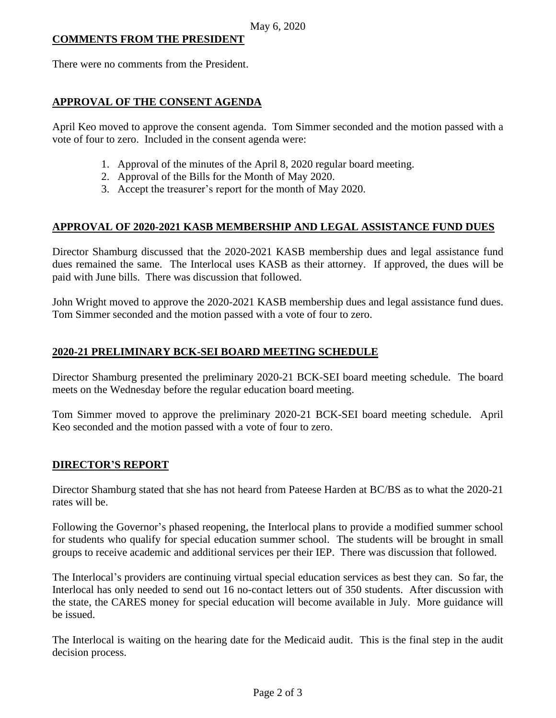## **COMMENTS FROM THE PRESIDENT**

There were no comments from the President.

## **APPROVAL OF THE CONSENT AGENDA**

April Keo moved to approve the consent agenda. Tom Simmer seconded and the motion passed with a vote of four to zero. Included in the consent agenda were:

- 1. Approval of the minutes of the April 8, 2020 regular board meeting.
- 2. Approval of the Bills for the Month of May 2020.
- 3. Accept the treasurer's report for the month of May 2020.

# **APPROVAL OF 2020-2021 KASB MEMBERSHIP AND LEGAL ASSISTANCE FUND DUES**

Director Shamburg discussed that the 2020-2021 KASB membership dues and legal assistance fund dues remained the same. The Interlocal uses KASB as their attorney. If approved, the dues will be paid with June bills. There was discussion that followed.

John Wright moved to approve the 2020-2021 KASB membership dues and legal assistance fund dues. Tom Simmer seconded and the motion passed with a vote of four to zero.

# **2020-21 PRELIMINARY BCK-SEI BOARD MEETING SCHEDULE**

Director Shamburg presented the preliminary 2020-21 BCK-SEI board meeting schedule. The board meets on the Wednesday before the regular education board meeting.

Tom Simmer moved to approve the preliminary 2020-21 BCK-SEI board meeting schedule. April Keo seconded and the motion passed with a vote of four to zero.

# **DIRECTOR'S REPORT**

Director Shamburg stated that she has not heard from Pateese Harden at BC/BS as to what the 2020-21 rates will be.

Following the Governor's phased reopening, the Interlocal plans to provide a modified summer school for students who qualify for special education summer school. The students will be brought in small groups to receive academic and additional services per their IEP. There was discussion that followed.

The Interlocal's providers are continuing virtual special education services as best they can. So far, the Interlocal has only needed to send out 16 no-contact letters out of 350 students. After discussion with the state, the CARES money for special education will become available in July. More guidance will be issued.

The Interlocal is waiting on the hearing date for the Medicaid audit. This is the final step in the audit decision process.